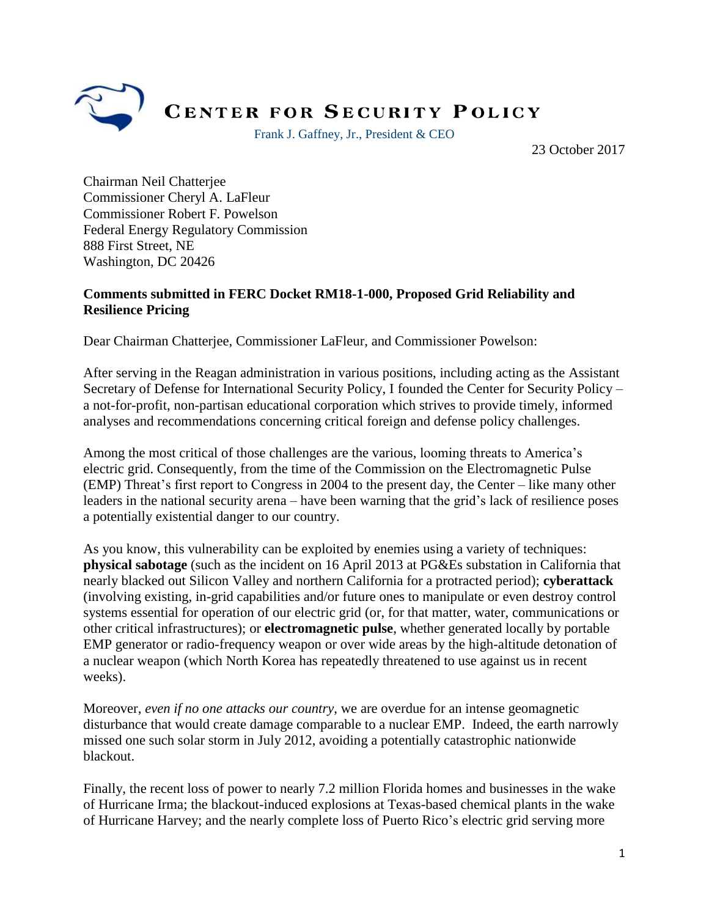

## **CENTER FOR SECURITY POLICY**

Frank J. Gaffney, Jr., President & CEO

23 October 2017

Chairman Neil Chatterjee Commissioner Cheryl A. LaFleur Commissioner Robert F. Powelson Federal Energy Regulatory Commission 888 First Street, NE Washington, DC 20426

## **Comments submitted in FERC Docket RM18-1-000, Proposed Grid Reliability and Resilience Pricing**

Dear Chairman Chatterjee, Commissioner LaFleur, and Commissioner Powelson:

After serving in the Reagan administration in various positions, including acting as the Assistant Secretary of Defense for International Security Policy, I founded the Center for Security Policy – a not-for-profit, non-partisan educational corporation which strives to provide timely, informed analyses and recommendations concerning critical foreign and defense policy challenges.

Among the most critical of those challenges are the various, looming threats to America's electric grid. Consequently, from the time of the Commission on the Electromagnetic Pulse (EMP) Threat's first report to Congress in 2004 to the present day, the Center – like many other leaders in the national security arena – have been warning that the grid's lack of resilience poses a potentially existential danger to our country.

As you know, this vulnerability can be exploited by enemies using a variety of techniques: **physical sabotage** (such as the incident on 16 April 2013 at PG&Es substation in California that nearly blacked out Silicon Valley and northern California for a protracted period); **cyberattack** (involving existing, in-grid capabilities and/or future ones to manipulate or even destroy control systems essential for operation of our electric grid (or, for that matter, water, communications or other critical infrastructures); or **electromagnetic pulse**, whether generated locally by portable EMP generator or radio-frequency weapon or over wide areas by the high-altitude detonation of a nuclear weapon (which North Korea has repeatedly threatened to use against us in recent weeks).

Moreover, *even if no one attacks our country*, we are overdue for an intense geomagnetic disturbance that would create damage comparable to a nuclear EMP. Indeed, the earth narrowly missed one such solar storm in July 2012, avoiding a potentially catastrophic nationwide blackout.

Finally, the recent loss of power to nearly 7.2 million Florida homes and businesses in the wake of Hurricane Irma; the blackout-induced explosions at Texas-based chemical plants in the wake of Hurricane Harvey; and the nearly complete loss of Puerto Rico's electric grid serving more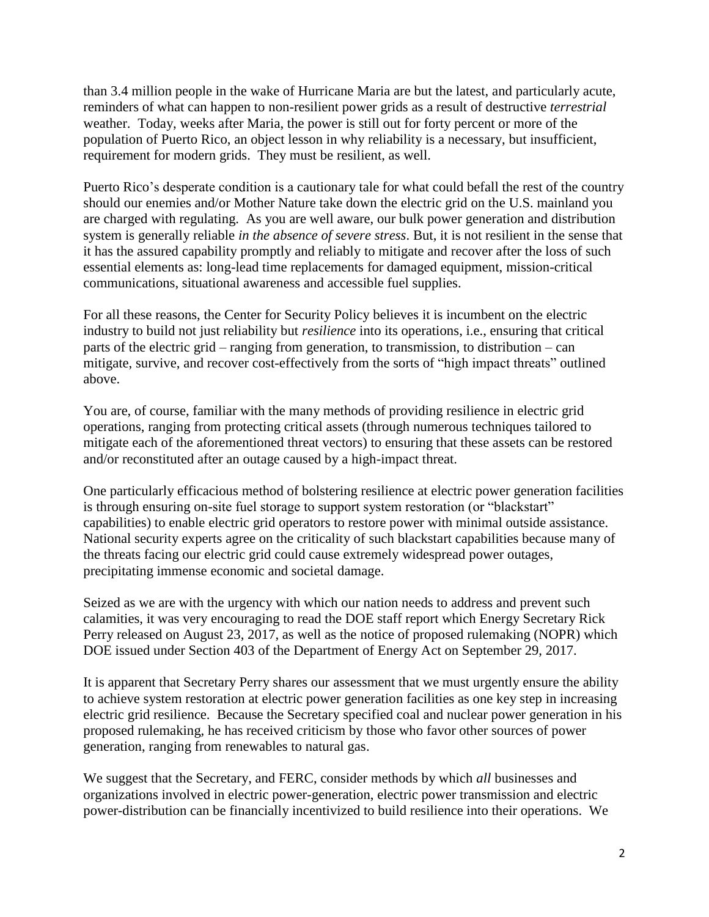than 3.4 million people in the wake of Hurricane Maria are but the latest, and particularly acute, reminders of what can happen to non-resilient power grids as a result of destructive *terrestrial*  weather. Today, weeks after Maria, the power is still out for forty percent or more of the population of Puerto Rico, an object lesson in why reliability is a necessary, but insufficient, requirement for modern grids. They must be resilient, as well.

Puerto Rico's desperate condition is a cautionary tale for what could befall the rest of the country should our enemies and/or Mother Nature take down the electric grid on the U.S. mainland you are charged with regulating. As you are well aware, our bulk power generation and distribution system is generally reliable *in the absence of severe stress*. But, it is not resilient in the sense that it has the assured capability promptly and reliably to mitigate and recover after the loss of such essential elements as: long-lead time replacements for damaged equipment, mission-critical communications, situational awareness and accessible fuel supplies.

For all these reasons, the Center for Security Policy believes it is incumbent on the electric industry to build not just reliability but *resilience* into its operations, i.e., ensuring that critical parts of the electric grid – ranging from generation, to transmission, to distribution – can mitigate, survive, and recover cost-effectively from the sorts of "high impact threats" outlined above.

You are, of course, familiar with the many methods of providing resilience in electric grid operations, ranging from protecting critical assets (through numerous techniques tailored to mitigate each of the aforementioned threat vectors) to ensuring that these assets can be restored and/or reconstituted after an outage caused by a high-impact threat.

One particularly efficacious method of bolstering resilience at electric power generation facilities is through ensuring on-site fuel storage to support system restoration (or "blackstart" capabilities) to enable electric grid operators to restore power with minimal outside assistance. National security experts agree on the criticality of such blackstart capabilities because many of the threats facing our electric grid could cause extremely widespread power outages, precipitating immense economic and societal damage.

Seized as we are with the urgency with which our nation needs to address and prevent such calamities, it was very encouraging to read the DOE staff report which Energy Secretary Rick Perry released on August 23, 2017, as well as the notice of proposed rulemaking (NOPR) which DOE issued under Section 403 of the Department of Energy Act on September 29, 2017.

It is apparent that Secretary Perry shares our assessment that we must urgently ensure the ability to achieve system restoration at electric power generation facilities as one key step in increasing electric grid resilience. Because the Secretary specified coal and nuclear power generation in his proposed rulemaking, he has received criticism by those who favor other sources of power generation, ranging from renewables to natural gas.

We suggest that the Secretary, and FERC, consider methods by which *all* businesses and organizations involved in electric power-generation, electric power transmission and electric power-distribution can be financially incentivized to build resilience into their operations. We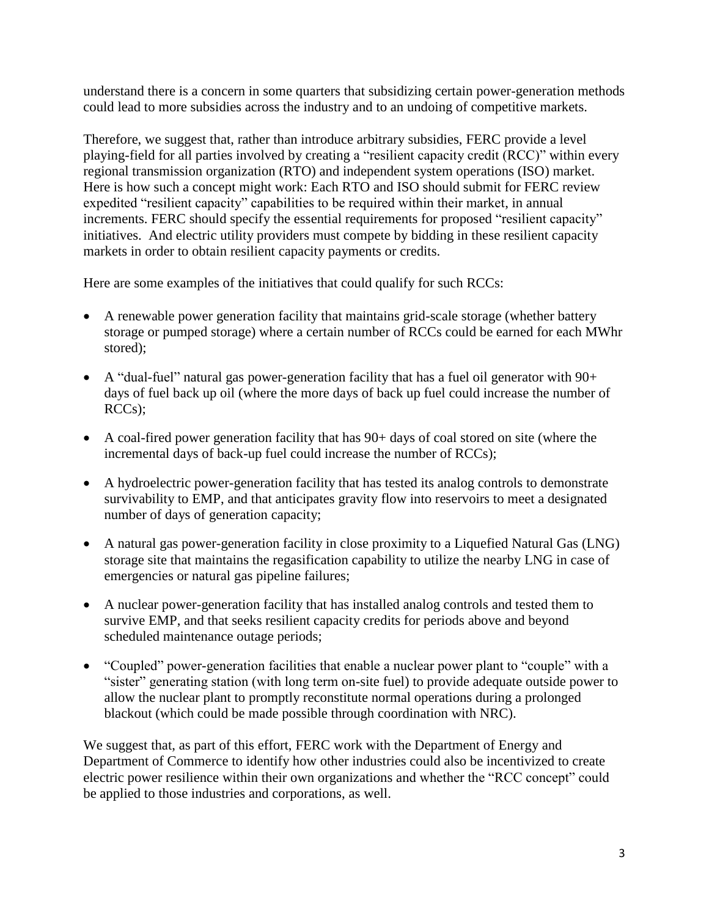understand there is a concern in some quarters that subsidizing certain power-generation methods could lead to more subsidies across the industry and to an undoing of competitive markets.

Therefore, we suggest that, rather than introduce arbitrary subsidies, FERC provide a level playing-field for all parties involved by creating a "resilient capacity credit (RCC)" within every regional transmission organization (RTO) and independent system operations (ISO) market. Here is how such a concept might work: Each RTO and ISO should submit for FERC review expedited "resilient capacity" capabilities to be required within their market, in annual increments. FERC should specify the essential requirements for proposed "resilient capacity" initiatives. And electric utility providers must compete by bidding in these resilient capacity markets in order to obtain resilient capacity payments or credits.

Here are some examples of the initiatives that could qualify for such RCCs:

- A renewable power generation facility that maintains grid-scale storage (whether battery storage or pumped storage) where a certain number of RCCs could be earned for each MWhr stored);
- A "dual-fuel" natural gas power-generation facility that has a fuel oil generator with  $90+$ days of fuel back up oil (where the more days of back up fuel could increase the number of RCCs);
- A coal-fired power generation facility that has 90+ days of coal stored on site (where the incremental days of back-up fuel could increase the number of RCCs);
- A hydroelectric power-generation facility that has tested its analog controls to demonstrate survivability to EMP, and that anticipates gravity flow into reservoirs to meet a designated number of days of generation capacity;
- A natural gas power-generation facility in close proximity to a Liquefied Natural Gas (LNG) storage site that maintains the regasification capability to utilize the nearby LNG in case of emergencies or natural gas pipeline failures;
- A nuclear power-generation facility that has installed analog controls and tested them to survive EMP, and that seeks resilient capacity credits for periods above and beyond scheduled maintenance outage periods;
- "Coupled" power-generation facilities that enable a nuclear power plant to "couple" with a "sister" generating station (with long term on-site fuel) to provide adequate outside power to allow the nuclear plant to promptly reconstitute normal operations during a prolonged blackout (which could be made possible through coordination with NRC).

We suggest that, as part of this effort, FERC work with the Department of Energy and Department of Commerce to identify how other industries could also be incentivized to create electric power resilience within their own organizations and whether the "RCC concept" could be applied to those industries and corporations, as well.